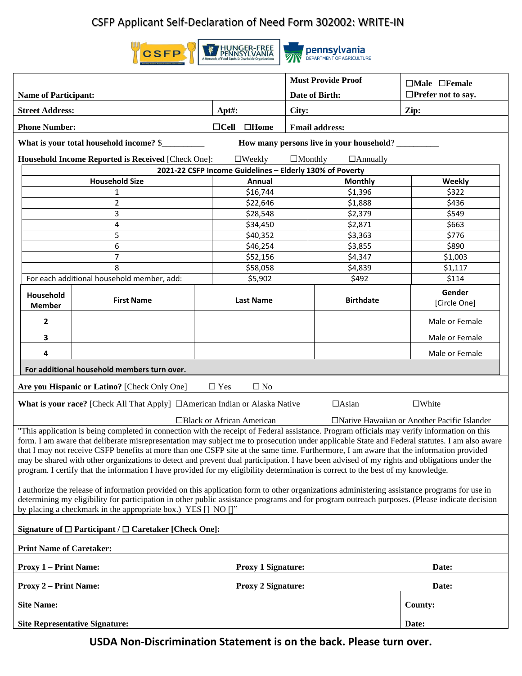## CSFP Applicant Self-Declaration of Need Form 302002: WRITE-IN





**pennsylvania** 

| <b>Name of Participant:</b>                                                                                                                                                                                                                                                                                                                                                                                                                                                                                                                                                                                                                                                                                                                                                                                                                                                                                                                                                                                                                                                                                                |                   |                                              |                         | <b>Must Provide Proof</b> | $\Box$ Male $\Box$ Female<br>$\Box$ Prefer not to say. |  |  |  |  |
|----------------------------------------------------------------------------------------------------------------------------------------------------------------------------------------------------------------------------------------------------------------------------------------------------------------------------------------------------------------------------------------------------------------------------------------------------------------------------------------------------------------------------------------------------------------------------------------------------------------------------------------------------------------------------------------------------------------------------------------------------------------------------------------------------------------------------------------------------------------------------------------------------------------------------------------------------------------------------------------------------------------------------------------------------------------------------------------------------------------------------|-------------------|----------------------------------------------|-------------------------|---------------------------|--------------------------------------------------------|--|--|--|--|
| <b>Street Address:</b>                                                                                                                                                                                                                                                                                                                                                                                                                                                                                                                                                                                                                                                                                                                                                                                                                                                                                                                                                                                                                                                                                                     |                   | $Apt\ddagger$ :                              | Date of Birth:<br>City: |                           | Zip:                                                   |  |  |  |  |
|                                                                                                                                                                                                                                                                                                                                                                                                                                                                                                                                                                                                                                                                                                                                                                                                                                                                                                                                                                                                                                                                                                                            |                   |                                              |                         |                           |                                                        |  |  |  |  |
| <b>Phone Number:</b><br>$\Box$ Cell<br>$\square$ Home<br><b>Email address:</b>                                                                                                                                                                                                                                                                                                                                                                                                                                                                                                                                                                                                                                                                                                                                                                                                                                                                                                                                                                                                                                             |                   |                                              |                         |                           |                                                        |  |  |  |  |
| What is your total household income? \$<br>How many persons live in your household?                                                                                                                                                                                                                                                                                                                                                                                                                                                                                                                                                                                                                                                                                                                                                                                                                                                                                                                                                                                                                                        |                   |                                              |                         |                           |                                                        |  |  |  |  |
| Household Income Reported is Received [Check One]:<br>$\square$ Weekly<br>$\Box$ Monthly<br>$\Box$ Annually<br>2021-22 CSFP Income Guidelines - Elderly 130% of Poverty                                                                                                                                                                                                                                                                                                                                                                                                                                                                                                                                                                                                                                                                                                                                                                                                                                                                                                                                                    |                   |                                              |                         |                           |                                                        |  |  |  |  |
| <b>Household Size</b><br>Annual<br><b>Monthly</b><br>Weekly                                                                                                                                                                                                                                                                                                                                                                                                                                                                                                                                                                                                                                                                                                                                                                                                                                                                                                                                                                                                                                                                |                   |                                              |                         |                           |                                                        |  |  |  |  |
|                                                                                                                                                                                                                                                                                                                                                                                                                                                                                                                                                                                                                                                                                                                                                                                                                                                                                                                                                                                                                                                                                                                            | 1                 | \$16,744                                     | \$1,396                 |                           | \$322                                                  |  |  |  |  |
|                                                                                                                                                                                                                                                                                                                                                                                                                                                                                                                                                                                                                                                                                                                                                                                                                                                                                                                                                                                                                                                                                                                            | $\overline{2}$    | \$22,646                                     |                         |                           | \$436                                                  |  |  |  |  |
|                                                                                                                                                                                                                                                                                                                                                                                                                                                                                                                                                                                                                                                                                                                                                                                                                                                                                                                                                                                                                                                                                                                            | 3                 | \$28,548                                     | \$1,888<br>\$2,379      |                           | \$549                                                  |  |  |  |  |
|                                                                                                                                                                                                                                                                                                                                                                                                                                                                                                                                                                                                                                                                                                                                                                                                                                                                                                                                                                                                                                                                                                                            | 4                 | \$34,450                                     | \$2,871                 |                           | \$663                                                  |  |  |  |  |
|                                                                                                                                                                                                                                                                                                                                                                                                                                                                                                                                                                                                                                                                                                                                                                                                                                                                                                                                                                                                                                                                                                                            | 5                 | \$40,352                                     | \$3,363                 |                           | \$776                                                  |  |  |  |  |
|                                                                                                                                                                                                                                                                                                                                                                                                                                                                                                                                                                                                                                                                                                                                                                                                                                                                                                                                                                                                                                                                                                                            | 6                 | \$46,254                                     |                         |                           | \$890                                                  |  |  |  |  |
|                                                                                                                                                                                                                                                                                                                                                                                                                                                                                                                                                                                                                                                                                                                                                                                                                                                                                                                                                                                                                                                                                                                            | $\overline{7}$    | \$52,156                                     | \$4,347                 |                           | \$1,003                                                |  |  |  |  |
| 8                                                                                                                                                                                                                                                                                                                                                                                                                                                                                                                                                                                                                                                                                                                                                                                                                                                                                                                                                                                                                                                                                                                          |                   | \$58,058                                     |                         | \$4,839                   | \$1,117                                                |  |  |  |  |
| For each additional household member, add:                                                                                                                                                                                                                                                                                                                                                                                                                                                                                                                                                                                                                                                                                                                                                                                                                                                                                                                                                                                                                                                                                 |                   | \$5,902                                      |                         | \$492                     | \$114                                                  |  |  |  |  |
| Household<br><b>Member</b>                                                                                                                                                                                                                                                                                                                                                                                                                                                                                                                                                                                                                                                                                                                                                                                                                                                                                                                                                                                                                                                                                                 | <b>First Name</b> | <b>Last Name</b>                             |                         | <b>Birthdate</b>          | Gender<br>[Circle One]                                 |  |  |  |  |
| $\mathbf{2}$                                                                                                                                                                                                                                                                                                                                                                                                                                                                                                                                                                                                                                                                                                                                                                                                                                                                                                                                                                                                                                                                                                               |                   |                                              |                         |                           | Male or Female                                         |  |  |  |  |
| 3                                                                                                                                                                                                                                                                                                                                                                                                                                                                                                                                                                                                                                                                                                                                                                                                                                                                                                                                                                                                                                                                                                                          |                   |                                              |                         |                           | Male or Female                                         |  |  |  |  |
| 4                                                                                                                                                                                                                                                                                                                                                                                                                                                                                                                                                                                                                                                                                                                                                                                                                                                                                                                                                                                                                                                                                                                          |                   |                                              |                         |                           | Male or Female                                         |  |  |  |  |
| For additional household members turn over.                                                                                                                                                                                                                                                                                                                                                                                                                                                                                                                                                                                                                                                                                                                                                                                                                                                                                                                                                                                                                                                                                |                   |                                              |                         |                           |                                                        |  |  |  |  |
| $\Box$ Yes<br>Are you Hispanic or Latino? [Check Only One]<br>$\Box$ No                                                                                                                                                                                                                                                                                                                                                                                                                                                                                                                                                                                                                                                                                                                                                                                                                                                                                                                                                                                                                                                    |                   |                                              |                         |                           |                                                        |  |  |  |  |
| What is your race? [Check All That Apply] □ American Indian or Alaska Native                                                                                                                                                                                                                                                                                                                                                                                                                                                                                                                                                                                                                                                                                                                                                                                                                                                                                                                                                                                                                                               | $\square$ White   |                                              |                         |                           |                                                        |  |  |  |  |
|                                                                                                                                                                                                                                                                                                                                                                                                                                                                                                                                                                                                                                                                                                                                                                                                                                                                                                                                                                                                                                                                                                                            |                   | □Native Hawaiian or Another Pacific Islander |                         |                           |                                                        |  |  |  |  |
| □Black or African American<br>"This application is being completed in connection with the receipt of Federal assistance. Program officials may verify information on this<br>form. I am aware that deliberate misrepresentation may subject me to prosecution under applicable State and Federal statutes. I am also aware<br>that I may not receive CSFP benefits at more than one CSFP site at the same time. Furthermore, I am aware that the information provided<br>may be shared with other organizations to detect and prevent dual participation. I have been advised of my rights and obligations under the<br>program. I certify that the information I have provided for my eligibility determination is correct to the best of my knowledge.<br>I authorize the release of information provided on this application form to other organizations administering assistance programs for use in<br>determining my eligibility for participation in other public assistance programs and for program outreach purposes. (Please indicate decision<br>by placing a checkmark in the appropriate box.) YES [] NO []" |                   |                                              |                         |                           |                                                        |  |  |  |  |
| Signature of $\Box$ Participant / $\Box$ Caretaker [Check One]:                                                                                                                                                                                                                                                                                                                                                                                                                                                                                                                                                                                                                                                                                                                                                                                                                                                                                                                                                                                                                                                            |                   |                                              |                         |                           |                                                        |  |  |  |  |
| <b>Print Name of Caretaker:</b>                                                                                                                                                                                                                                                                                                                                                                                                                                                                                                                                                                                                                                                                                                                                                                                                                                                                                                                                                                                                                                                                                            |                   |                                              |                         |                           |                                                        |  |  |  |  |
| <b>Proxy 1 - Print Name:</b>                                                                                                                                                                                                                                                                                                                                                                                                                                                                                                                                                                                                                                                                                                                                                                                                                                                                                                                                                                                                                                                                                               | Date:             |                                              |                         |                           |                                                        |  |  |  |  |
| <b>Proxy 2 – Print Name:</b><br><b>Proxy 2 Signature:</b>                                                                                                                                                                                                                                                                                                                                                                                                                                                                                                                                                                                                                                                                                                                                                                                                                                                                                                                                                                                                                                                                  |                   |                                              |                         |                           | Date:                                                  |  |  |  |  |
| <b>Site Name:</b>                                                                                                                                                                                                                                                                                                                                                                                                                                                                                                                                                                                                                                                                                                                                                                                                                                                                                                                                                                                                                                                                                                          |                   |                                              |                         |                           | <b>County:</b>                                         |  |  |  |  |
| <b>Site Representative Signature:</b>                                                                                                                                                                                                                                                                                                                                                                                                                                                                                                                                                                                                                                                                                                                                                                                                                                                                                                                                                                                                                                                                                      | Date:             |                                              |                         |                           |                                                        |  |  |  |  |

**USDA Non-Discrimination Statement is on the back. Please turn over.**